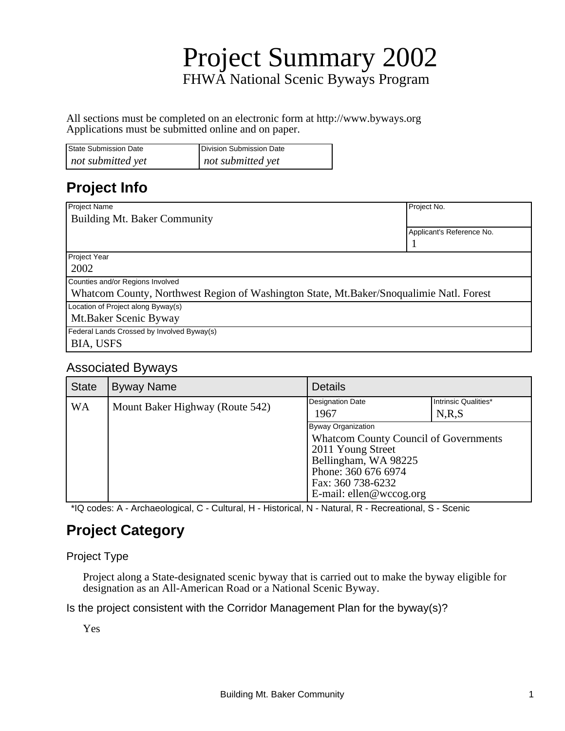# Project Summary 2002 FHWA National Scenic Byways Program

All sections must be completed on an electronic form at http://www.byways.org Applications must be submitted online and on paper.

| <b>State Submission Date</b> | Division Submission Date |
|------------------------------|--------------------------|
| not submitted yet            | not submitted yet        |

### **Project Info**

| Project Name                                                                             | Project No.               |  |
|------------------------------------------------------------------------------------------|---------------------------|--|
| Building Mt. Baker Community                                                             |                           |  |
|                                                                                          | Applicant's Reference No. |  |
|                                                                                          |                           |  |
| Project Year                                                                             |                           |  |
| 2002                                                                                     |                           |  |
| Counties and/or Regions Involved                                                         |                           |  |
| Whatcom County, Northwest Region of Washington State, Mt. Baker/Snoqualimie Natl. Forest |                           |  |
| Location of Project along Byway(s)                                                       |                           |  |
| Mt.Baker Scenic Byway                                                                    |                           |  |
| Federal Lands Crossed by Involved Byway(s)                                               |                           |  |
| <b>BIA, USFS</b>                                                                         |                           |  |

#### Associated Byways

| <b>State</b> | <b>Byway Name</b>               | <b>Details</b>                                                                                                                                                                         |                                 |
|--------------|---------------------------------|----------------------------------------------------------------------------------------------------------------------------------------------------------------------------------------|---------------------------------|
| <b>WA</b>    | Mount Baker Highway (Route 542) | Designation Date<br>1967                                                                                                                                                               | Intrinsic Qualities*<br>N, R, S |
|              |                                 | Byway Organization<br><b>Whatcom County Council of Governments</b><br>2011 Young Street<br>Bellingham, WA 98225<br>Phone: 360 676 6974<br>Fax: 360 738-6232<br>E-mail: ellen@wccog.org |                                 |

\*IQ codes: A - Archaeological, C - Cultural, H - Historical, N - Natural, R - Recreational, S - Scenic

### **Project Category**

#### Project Type

Project along a State-designated scenic byway that is carried out to make the byway eligible for designation as an All-American Road or a National Scenic Byway.

Is the project consistent with the Corridor Management Plan for the byway(s)?

Yes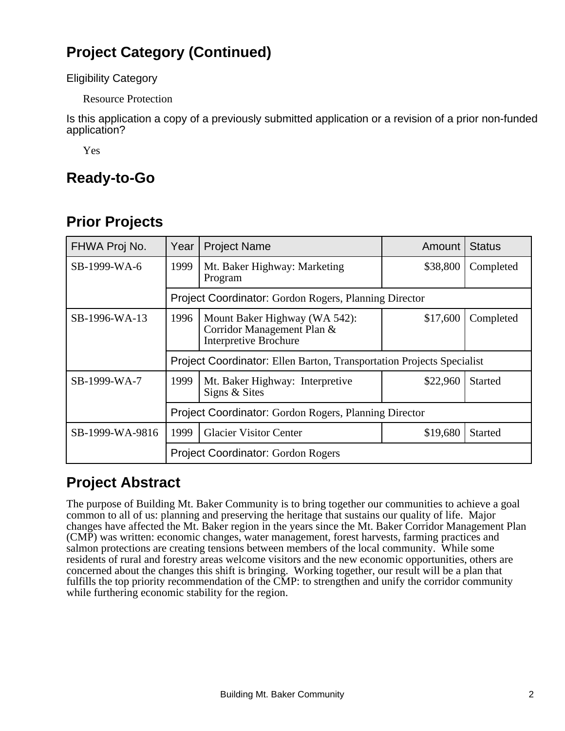## **Project Category (Continued)**

Eligibility Category

Resource Protection

Is this application a copy of a previously submitted application or a revision of a prior non-funded application?

Yes

### **Ready-to-Go**

### **Prior Projects**

| FHWA Proj No.   | Year                                                  | <b>Project Name</b>                                                                         | Amount   | <b>Status</b>  |
|-----------------|-------------------------------------------------------|---------------------------------------------------------------------------------------------|----------|----------------|
| SB-1999-WA-6    | 1999                                                  | Mt. Baker Highway: Marketing<br>Program                                                     | \$38,800 | Completed      |
|                 |                                                       | Project Coordinator: Gordon Rogers, Planning Director                                       |          |                |
| SB-1996-WA-13   | 1996                                                  | Mount Baker Highway (WA 542):<br>Corridor Management Plan &<br><b>Interpretive Brochure</b> | \$17,600 | Completed      |
|                 |                                                       | Project Coordinator: Ellen Barton, Transportation Projects Specialist                       |          |                |
| SB-1999-WA-7    | 1999                                                  | Mt. Baker Highway: Interpretive<br>Signs & Sites                                            | \$22,960 | <b>Started</b> |
|                 | Project Coordinator: Gordon Rogers, Planning Director |                                                                                             |          |                |
| SB-1999-WA-9816 | 1999                                                  | <b>Glacier Visitor Center</b>                                                               | \$19,680 | <b>Started</b> |
|                 |                                                       | <b>Project Coordinator: Gordon Rogers</b>                                                   |          |                |

### **Project Abstract**

The purpose of Building Mt. Baker Community is to bring together our communities to achieve a goal common to all of us: planning and preserving the heritage that sustains our quality of life. Major changes have affected the Mt. Baker region in the years since the Mt. Baker Corridor Management Plan (CMP) was written: economic changes, water management, forest harvests, farming practices and salmon protections are creating tensions between members of the local community. While some residents of rural and forestry areas welcome visitors and the new economic opportunities, others are concerned about the changes this shift is bringing. Working together, our result will be a plan that fulfills the top priority recommendation of the CMP: to strengthen and unify the corridor community while furthering economic stability for the region.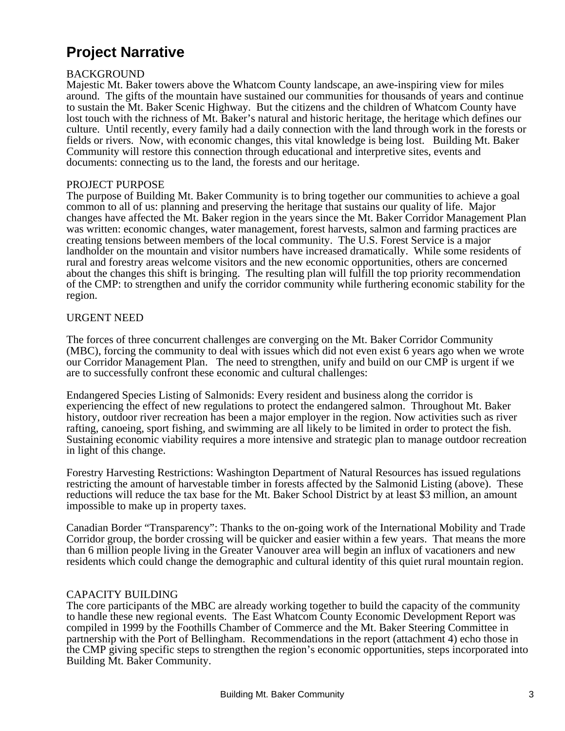## **Project Narrative**

#### BACKGROUND

Majestic Mt. Baker towers above the Whatcom County landscape, an awe-inspiring view for miles around. The gifts of the mountain have sustained our communities for thousands of years and continue to sustain the Mt. Baker Scenic Highway. But the citizens and the children of Whatcom County have lost touch with the richness of Mt. Baker's natural and historic heritage, the heritage which defines our culture. Until recently, every family had a daily connection with the land through work in the forests or fields or rivers. Now, with economic changes, this vital knowledge is being lost. Building Mt. Baker Community will restore this connection through educational and interpretive sites, events and documents: connecting us to the land, the forests and our heritage.

#### PROJECT PURPOSE

The purpose of Building Mt. Baker Community is to bring together our communities to achieve a goal common to all of us: planning and preserving the heritage that sustains our quality of life. Major changes have affected the Mt. Baker region in the years since the Mt. Baker Corridor Management Plan was written: economic changes, water management, forest harvests, salmon and farming practices are creating tensions between members of the local community. The U.S. Forest Service is a major landholder on the mountain and visitor numbers have increased dramatically. While some residents of rural and forestry areas welcome visitors and the new economic opportunities, others are concerned about the changes this shift is bringing. The resulting plan will fulfill the top priority recommendation of the CMP: to strengthen and unify the corridor community while furthering economic stability for the region.

#### URGENT NEED

The forces of three concurrent challenges are converging on the Mt. Baker Corridor Community (MBC), forcing the community to deal with issues which did not even exist 6 years ago when we wrote our Corridor Management Plan. The need to strengthen, unify and build on our CMP is urgent if we are to successfully confront these economic and cultural challenges:

Endangered Species Listing of Salmonids: Every resident and business along the corridor is experiencing the effect of new regulations to protect the endangered salmon. Throughout Mt. Baker history, outdoor river recreation has been a major employer in the region. Now activities such as river rafting, canoeing, sport fishing, and swimming are all likely to be limited in order to protect the fish. Sustaining economic viability requires a more intensive and strategic plan to manage outdoor recreation in light of this change.

Forestry Harvesting Restrictions: Washington Department of Natural Resources has issued regulations restricting the amount of harvestable timber in forests affected by the Salmonid Listing (above). These reductions will reduce the tax base for the Mt. Baker School District by at least \$3 million, an amount impossible to make up in property taxes.

Canadian Border "Transparency": Thanks to the on-going work of the International Mobility and Trade Corridor group, the border crossing will be quicker and easier within a few years. That means the more than 6 million people living in the Greater Vanouver area will begin an influx of vacationers and new residents which could change the demographic and cultural identity of this quiet rural mountain region.

#### CAPACITY BUILDING

The core participants of the MBC are already working together to build the capacity of the community to handle these new regional events. The East Whatcom County Economic Development Report was compiled in 1999 by the Foothills Chamber of Commerce and the Mt. Baker Steering Committee in partnership with the Port of Bellingham. Recommendations in the report (attachment 4) echo those in the CMP giving specific steps to strengthen the region's economic opportunities, steps incorporated into Building Mt. Baker Community.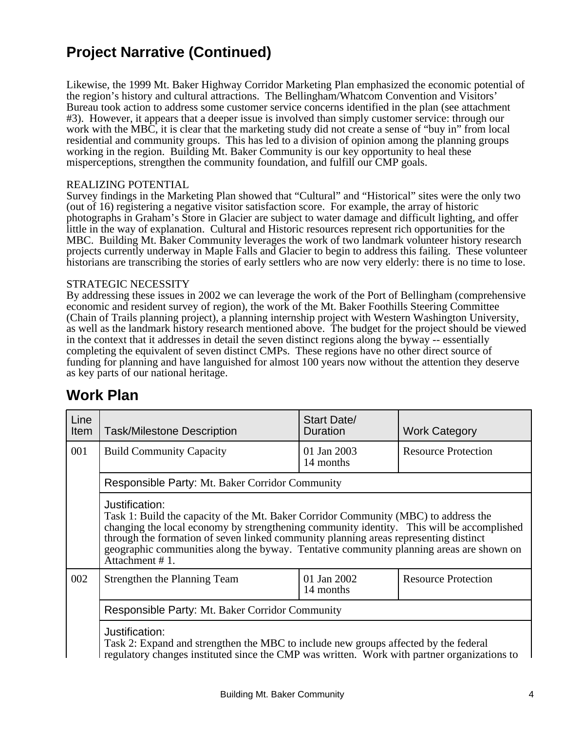## **Project Narrative (Continued)**

Likewise, the 1999 Mt. Baker Highway Corridor Marketing Plan emphasized the economic potential of the region's history and cultural attractions. The Bellingham/Whatcom Convention and Visitors' Bureau took action to address some customer service concerns identified in the plan (see attachment #3). However, it appears that a deeper issue is involved than simply customer service: through our work with the MBC, it is clear that the marketing study did not create a sense of "buy in" from local residential and community groups. This has led to a division of opinion among the planning groups working in the region. Building Mt. Baker Community is our key opportunity to heal these misperceptions, strengthen the community foundation, and fulfill our CMP goals.

#### REALIZING POTENTIAL

Survey findings in the Marketing Plan showed that "Cultural" and "Historical" sites were the only two (out of 16) registering a negative visitor satisfaction score. For example, the array of historic photographs in Graham's Store in Glacier are subject to water damage and difficult lighting, and offer little in the way of explanation. Cultural and Historic resources represent rich opportunities for the MBC. Building Mt. Baker Community leverages the work of two landmark volunteer history research projects currently underway in Maple Falls and Glacier to begin to address this failing. These volunteer historians are transcribing the stories of early settlers who are now very elderly: there is no time to lose.

#### STRATEGIC NECESSITY

By addressing these issues in 2002 we can leverage the work of the Port of Bellingham (comprehensive economic and resident survey of region), the work of the Mt. Baker Foothills Steering Committee (Chain of Trails planning project), a planning internship project with Western Washington University, as well as the landmark history research mentioned above. The budget for the project should be viewed in the context that it addresses in detail the seven distinct regions along the byway -- essentially completing the equivalent of seven distinct CMPs. These regions have no other direct source of funding for planning and have languished for almost 100 years now without the attention they deserve as key parts of our national heritage.

#### **Work Plan**

| Line<br>Item                                                                                                                                                                                                                                            | <b>Task/Milestone Description</b>                                                                                                                                                                                                                                                                                                                                                                       | Start Date/<br>Duration  | <b>Work Category</b>       |
|---------------------------------------------------------------------------------------------------------------------------------------------------------------------------------------------------------------------------------------------------------|---------------------------------------------------------------------------------------------------------------------------------------------------------------------------------------------------------------------------------------------------------------------------------------------------------------------------------------------------------------------------------------------------------|--------------------------|----------------------------|
| 001                                                                                                                                                                                                                                                     | <b>Build Community Capacity</b>                                                                                                                                                                                                                                                                                                                                                                         | 01 Jan 2003<br>14 months | <b>Resource Protection</b> |
|                                                                                                                                                                                                                                                         | Responsible Party: Mt. Baker Corridor Community                                                                                                                                                                                                                                                                                                                                                         |                          |                            |
|                                                                                                                                                                                                                                                         | Justification:<br>Task 1: Build the capacity of the Mt. Baker Corridor Community (MBC) to address the<br>changing the local economy by strengthening community identity. This will be accomplished<br>through the formation of seven linked community planning areas representing distinct<br>geographic communities along the byway. Tentative community planning areas are shown on<br>Attachment #1. |                          |                            |
| 002                                                                                                                                                                                                                                                     | Strengthen the Planning Team                                                                                                                                                                                                                                                                                                                                                                            | 01 Jan 2002<br>14 months | <b>Resource Protection</b> |
| Responsible Party: Mt. Baker Corridor Community<br>Justification:<br>Task 2: Expand and strengthen the MBC to include new groups affected by the federal<br>regulatory changes instituted since the CMP was written. Work with partner organizations to |                                                                                                                                                                                                                                                                                                                                                                                                         |                          |                            |
|                                                                                                                                                                                                                                                         |                                                                                                                                                                                                                                                                                                                                                                                                         |                          |                            |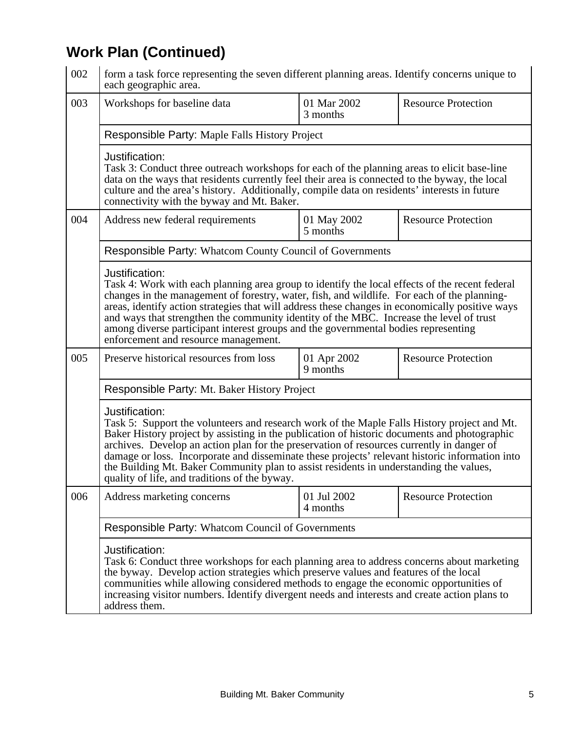# **Work Plan (Continued)**

| 002                                                                                                                                                                                                                                                                                                                                                                                                                                                                                                                                                     | form a task force representing the seven different planning areas. Identify concerns unique to<br>each geographic area.                                                                                                                                                                                                                                                                                                                                                                                                                     |                         |                            |  |
|---------------------------------------------------------------------------------------------------------------------------------------------------------------------------------------------------------------------------------------------------------------------------------------------------------------------------------------------------------------------------------------------------------------------------------------------------------------------------------------------------------------------------------------------------------|---------------------------------------------------------------------------------------------------------------------------------------------------------------------------------------------------------------------------------------------------------------------------------------------------------------------------------------------------------------------------------------------------------------------------------------------------------------------------------------------------------------------------------------------|-------------------------|----------------------------|--|
| 003                                                                                                                                                                                                                                                                                                                                                                                                                                                                                                                                                     | Workshops for baseline data                                                                                                                                                                                                                                                                                                                                                                                                                                                                                                                 | 01 Mar 2002<br>3 months | <b>Resource Protection</b> |  |
| Responsible Party: Maple Falls History Project                                                                                                                                                                                                                                                                                                                                                                                                                                                                                                          |                                                                                                                                                                                                                                                                                                                                                                                                                                                                                                                                             |                         |                            |  |
|                                                                                                                                                                                                                                                                                                                                                                                                                                                                                                                                                         | Justification:<br>Task 3: Conduct three outreach workshops for each of the planning areas to elicit base-line<br>data on the ways that residents currently feel their area is connected to the byway, the local<br>culture and the area's history. Additionally, compile data on residents' interests in future<br>connectivity with the byway and Mt. Baker.                                                                                                                                                                               |                         |                            |  |
| 004                                                                                                                                                                                                                                                                                                                                                                                                                                                                                                                                                     | Address new federal requirements                                                                                                                                                                                                                                                                                                                                                                                                                                                                                                            | 01 May 2002<br>5 months | <b>Resource Protection</b> |  |
|                                                                                                                                                                                                                                                                                                                                                                                                                                                                                                                                                         | <b>Responsible Party: Whatcom County Council of Governments</b>                                                                                                                                                                                                                                                                                                                                                                                                                                                                             |                         |                            |  |
|                                                                                                                                                                                                                                                                                                                                                                                                                                                                                                                                                         | Justification:<br>Task 4: Work with each planning area group to identify the local effects of the recent federal<br>changes in the management of forestry, water, fish, and wildlife. For each of the planning-<br>areas, identify action strategies that will address these changes in economically positive ways<br>and ways that strengthen the community identity of the MBC. Increase the level of trust<br>among diverse participant interest groups and the governmental bodies representing<br>enforcement and resource management. |                         |                            |  |
| 005                                                                                                                                                                                                                                                                                                                                                                                                                                                                                                                                                     | <b>Resource Protection</b>                                                                                                                                                                                                                                                                                                                                                                                                                                                                                                                  |                         |                            |  |
|                                                                                                                                                                                                                                                                                                                                                                                                                                                                                                                                                         | Responsible Party: Mt. Baker History Project                                                                                                                                                                                                                                                                                                                                                                                                                                                                                                |                         |                            |  |
| Justification:<br>Task 5: Support the volunteers and research work of the Maple Falls History project and Mt.<br>Baker History project by assisting in the publication of historic documents and photographic<br>archives. Develop an action plan for the preservation of resources currently in danger of<br>damage or loss. Incorporate and disseminate these projects' relevant historic information into<br>the Building Mt. Baker Community plan to assist residents in understanding the values,<br>quality of life, and traditions of the byway. |                                                                                                                                                                                                                                                                                                                                                                                                                                                                                                                                             |                         |                            |  |
| 006                                                                                                                                                                                                                                                                                                                                                                                                                                                                                                                                                     | Address marketing concerns                                                                                                                                                                                                                                                                                                                                                                                                                                                                                                                  | 01 Jul 2002<br>4 months | <b>Resource Protection</b> |  |
|                                                                                                                                                                                                                                                                                                                                                                                                                                                                                                                                                         |                                                                                                                                                                                                                                                                                                                                                                                                                                                                                                                                             |                         |                            |  |
| Justification:<br>Task 6: Conduct three workshops for each planning area to address concerns about marketing<br>the byway. Develop action strategies which preserve values and features of the local<br>communities while allowing considered methods to engage the economic opportunities of<br>increasing visitor numbers. Identify divergent needs and interests and create action plans to<br>address them.                                                                                                                                         |                                                                                                                                                                                                                                                                                                                                                                                                                                                                                                                                             |                         |                            |  |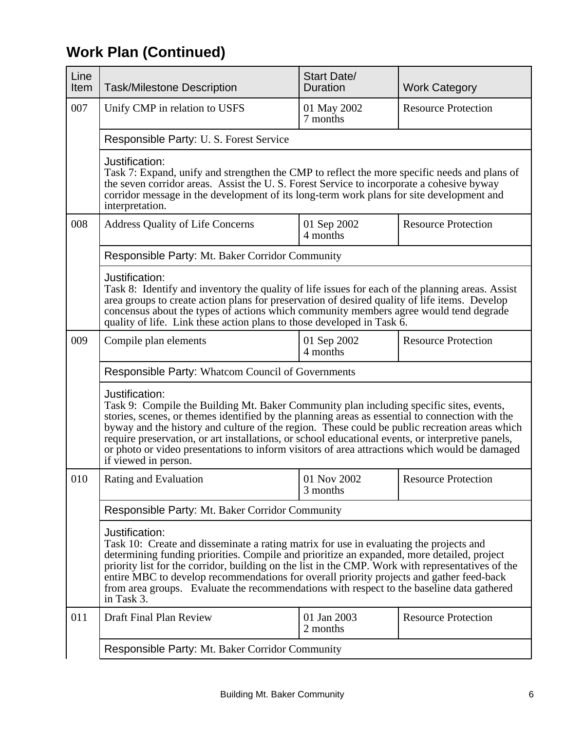# **Work Plan (Continued)**

| Line<br>Item | <b>Task/Milestone Description</b>                                                                                                                                                                                                                                                                                                                                                                                                                                                                                                           | <b>Start Date/</b><br><b>Duration</b> | <b>Work Category</b>       |  |
|--------------|---------------------------------------------------------------------------------------------------------------------------------------------------------------------------------------------------------------------------------------------------------------------------------------------------------------------------------------------------------------------------------------------------------------------------------------------------------------------------------------------------------------------------------------------|---------------------------------------|----------------------------|--|
| 007          | Unify CMP in relation to USFS                                                                                                                                                                                                                                                                                                                                                                                                                                                                                                               | 01 May 2002<br>7 months               | <b>Resource Protection</b> |  |
|              | Responsible Party: U.S. Forest Service                                                                                                                                                                                                                                                                                                                                                                                                                                                                                                      |                                       |                            |  |
|              | Justification:<br>Task 7: Expand, unify and strengthen the CMP to reflect the more specific needs and plans of<br>the seven corridor areas. Assist the U.S. Forest Service to incorporate a cohesive byway<br>corridor message in the development of its long-term work plans for site development and<br>interpretation.                                                                                                                                                                                                                   |                                       |                            |  |
| 008          | <b>Address Quality of Life Concerns</b>                                                                                                                                                                                                                                                                                                                                                                                                                                                                                                     | 01 Sep 2002<br>4 months               | <b>Resource Protection</b> |  |
|              | Responsible Party: Mt. Baker Corridor Community                                                                                                                                                                                                                                                                                                                                                                                                                                                                                             |                                       |                            |  |
|              | Justification:<br>Task 8: Identify and inventory the quality of life issues for each of the planning areas. Assist<br>area groups to create action plans for preservation of desired quality of life items. Develop<br>concensus about the types of actions which community members agree would tend degrade<br>quality of life. Link these action plans to those developed in Task 6.                                                                                                                                                      |                                       |                            |  |
| 009          | Compile plan elements                                                                                                                                                                                                                                                                                                                                                                                                                                                                                                                       | 01 Sep 2002<br>4 months               | <b>Resource Protection</b> |  |
|              | <b>Responsible Party: Whatcom Council of Governments</b>                                                                                                                                                                                                                                                                                                                                                                                                                                                                                    |                                       |                            |  |
|              | Justification:<br>Task 9: Compile the Building Mt. Baker Community plan including specific sites, events,<br>stories, scenes, or themes identified by the planning areas as essential to connection with the<br>byway and the history and culture of the region. These could be public recreation areas which<br>require preservation, or art installations, or school educational events, or interpretive panels,<br>or photo or video presentations to inform visitors of area attractions which would be damaged<br>if viewed in person. |                                       |                            |  |
| 010          | Rating and Evaluation                                                                                                                                                                                                                                                                                                                                                                                                                                                                                                                       | 01 Nov 2002<br>3 months               | <b>Resource Protection</b> |  |
|              | Responsible Party: Mt. Baker Corridor Community                                                                                                                                                                                                                                                                                                                                                                                                                                                                                             |                                       |                            |  |
|              | Justification:<br>Task 10: Create and disseminate a rating matrix for use in evaluating the projects and<br>determining funding priorities. Compile and prioritize an expanded, more detailed, project<br>priority list for the corridor, building on the list in the CMP. Work with representatives of the<br>entire MBC to develop recommendations for overall priority projects and gather feed-back<br>from area groups. Evaluate the recommendations with respect to the baseline data gathered<br>in Task 3.                          |                                       |                            |  |
| 011          | Draft Final Plan Review                                                                                                                                                                                                                                                                                                                                                                                                                                                                                                                     | 01 Jan 2003<br>2 months               | <b>Resource Protection</b> |  |
|              | <b>Responsible Party: Mt. Baker Corridor Community</b>                                                                                                                                                                                                                                                                                                                                                                                                                                                                                      |                                       |                            |  |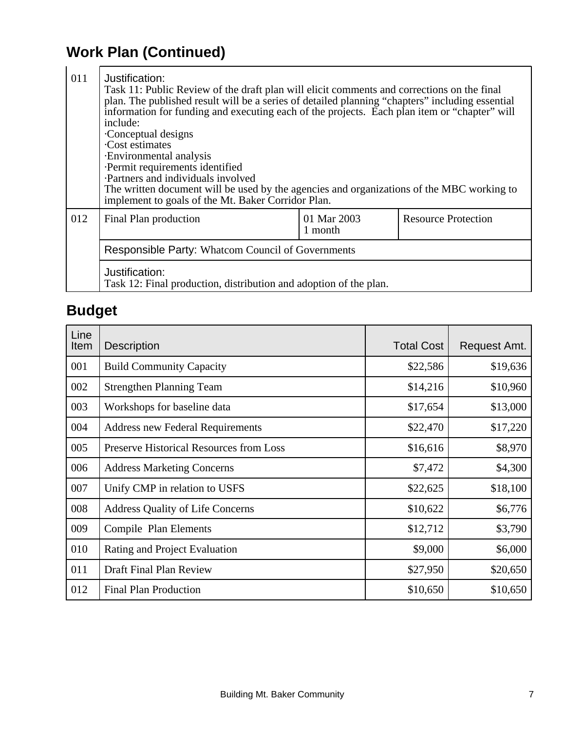## **Work Plan (Continued)**

| 011 | Justification:<br>Task 11: Public Review of the draft plan will elicit comments and corrections on the final<br>plan. The published result will be a series of detailed planning "chapters" including essential<br>information for funding and executing each of the projects. Each plan item or "chapter" will<br>include:<br>Conceptual designs<br>· Cost estimates<br>· Environmental analysis<br>· Permit requirements identified<br>· Partners and individuals involved<br>The written document will be used by the agencies and organizations of the MBC working to<br>implement to goals of the Mt. Baker Corridor Plan. |  |  |  |  |
|-----|---------------------------------------------------------------------------------------------------------------------------------------------------------------------------------------------------------------------------------------------------------------------------------------------------------------------------------------------------------------------------------------------------------------------------------------------------------------------------------------------------------------------------------------------------------------------------------------------------------------------------------|--|--|--|--|
| 012 | 01 Mar 2003<br><b>Resource Protection</b><br>Final Plan production<br>1 month                                                                                                                                                                                                                                                                                                                                                                                                                                                                                                                                                   |  |  |  |  |
|     | <b>Responsible Party: Whatcom Council of Governments</b>                                                                                                                                                                                                                                                                                                                                                                                                                                                                                                                                                                        |  |  |  |  |
|     | Justification:<br>Task 12: Final production, distribution and adoption of the plan.                                                                                                                                                                                                                                                                                                                                                                                                                                                                                                                                             |  |  |  |  |

# **Budget**

| Line<br>Item | <b>Description</b>                      | <b>Total Cost</b> | Request Amt. |
|--------------|-----------------------------------------|-------------------|--------------|
| 001          | <b>Build Community Capacity</b>         | \$22,586          | \$19,636     |
| 002          | <b>Strengthen Planning Team</b>         | \$14,216          | \$10,960     |
| 003          | Workshops for baseline data             | \$17,654          | \$13,000     |
| 004          | <b>Address new Federal Requirements</b> | \$22,470          | \$17,220     |
| 005          | Preserve Historical Resources from Loss | \$16,616          | \$8,970      |
| 006          | <b>Address Marketing Concerns</b>       | \$7,472           | \$4,300      |
| 007          | Unify CMP in relation to USFS           | \$22,625          | \$18,100     |
| 008          | <b>Address Quality of Life Concerns</b> | \$10,622          | \$6,776      |
| 009          | Compile Plan Elements                   | \$12,712          | \$3,790      |
| 010          | Rating and Project Evaluation           | \$9,000           | \$6,000      |
| 011          | Draft Final Plan Review                 | \$27,950          | \$20,650     |
| 012          | <b>Final Plan Production</b>            | \$10,650          | \$10,650     |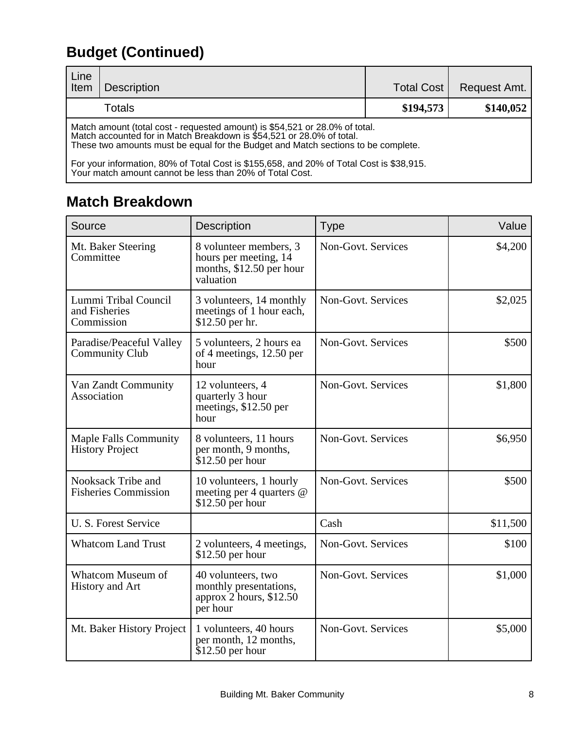# **Budget (Continued)**

| Line<br>Item | <b>Description</b>                                                                                                                                                                                                                                                                                                                                                                                | <b>Total Cost</b> | Request Amt. |
|--------------|---------------------------------------------------------------------------------------------------------------------------------------------------------------------------------------------------------------------------------------------------------------------------------------------------------------------------------------------------------------------------------------------------|-------------------|--------------|
|              | <b>Totals</b>                                                                                                                                                                                                                                                                                                                                                                                     | \$194,573         | \$140,052    |
|              | Match amount (total cost - requested amount) is \$54,521 or 28.0% of total.<br>Match accounted for in Match Breakdown is \$54,521 or 28.0% of total.<br>These two amounts must be equal for the Budget and Match sections to be complete.<br>For your information, 80% of Total Cost is \$155,658, and 20% of Total Cost is \$38,915.<br>Your match amount cannot be less than 20% of Total Cost. |                   |              |

## **Match Breakdown**

| Source                                                 | <b>Description</b>                                                                       | <b>Type</b>        | Value    |
|--------------------------------------------------------|------------------------------------------------------------------------------------------|--------------------|----------|
| Mt. Baker Steering<br>Committee                        | 8 volunteer members, 3<br>hours per meeting, 14<br>months, \$12.50 per hour<br>valuation | Non-Govt. Services | \$4,200  |
| Lummi Tribal Council<br>and Fisheries<br>Commission    | 3 volunteers, 14 monthly<br>meetings of 1 hour each,<br>\$12.50 per hr.                  | Non-Govt. Services | \$2,025  |
| Paradise/Peaceful Valley<br><b>Community Club</b>      | 5 volunteers, 2 hours ea<br>of 4 meetings, 12.50 per<br>hour                             | Non-Govt. Services | \$500    |
| Van Zandt Community<br>Association                     | 12 volunteers, 4<br>quarterly 3 hour<br>meetings, \$12.50 per<br>hour                    | Non-Govt. Services | \$1,800  |
| <b>Maple Falls Community</b><br><b>History Project</b> | 8 volunteers, 11 hours<br>per month, 9 months,<br>$$12.50$ per hour                      | Non-Govt. Services | \$6,950  |
| Nooksack Tribe and<br><b>Fisheries Commission</b>      | 10 volunteers, 1 hourly<br>meeting per 4 quarters @<br>$$12.50$ per hour                 | Non-Govt. Services | \$500    |
| U. S. Forest Service                                   |                                                                                          | Cash               | \$11,500 |
| <b>Whatcom Land Trust</b>                              | 2 volunteers, 4 meetings,<br>$$12.50$ per hour                                           | Non-Govt. Services | \$100    |
| Whatcom Museum of<br><b>History and Art</b>            | 40 volunteers, two<br>monthly presentations,<br>approx 2 hours, \$12.50<br>per hour      | Non-Govt. Services | \$1,000  |
| Mt. Baker History Project                              | 1 volunteers, 40 hours<br>per month, 12 months,<br>$$12.50$ per hour                     | Non-Govt. Services | \$5,000  |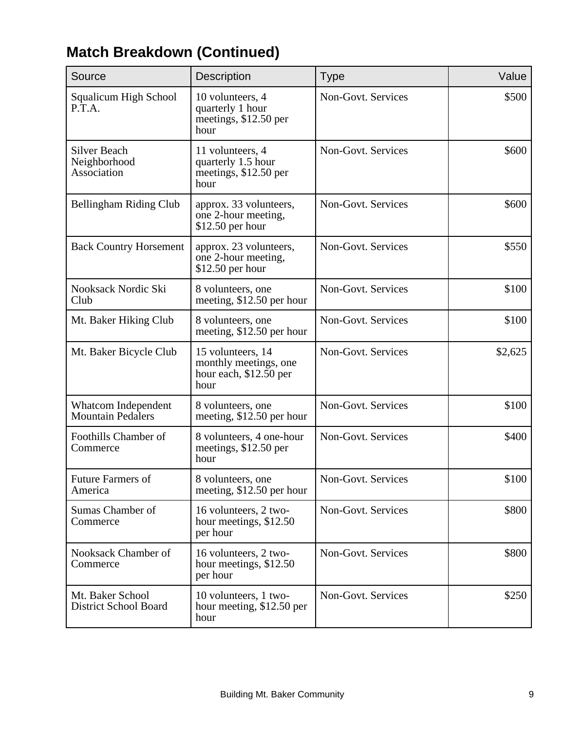| Source                                           | <b>Description</b>                                                           | <b>Type</b>        | Value   |
|--------------------------------------------------|------------------------------------------------------------------------------|--------------------|---------|
| Squalicum High School<br>P.T.A.                  | 10 volunteers, 4<br>quarterly 1 hour<br>meetings, \$12.50 per<br>hour        | Non-Govt. Services | \$500   |
| Silver Beach<br>Neighborhood<br>Association      | 11 volunteers, 4<br>quarterly 1.5 hour<br>meetings, \$12.50 per<br>hour      | Non-Govt. Services | \$600   |
| Bellingham Riding Club                           | approx. 33 volunteers,<br>one 2-hour meeting,<br>$$12.50$ per hour           | Non-Govt. Services | \$600   |
| <b>Back Country Horsement</b>                    | approx. 23 volunteers,<br>one 2-hour meeting,<br>\$12.50 per hour            | Non-Govt. Services | \$550   |
| Nooksack Nordic Ski<br>Club                      | 8 volunteers, one<br>meeting, \$12.50 per hour                               | Non-Govt. Services | \$100   |
| Mt. Baker Hiking Club                            | 8 volunteers, one<br>meeting, \$12.50 per hour                               | Non-Govt. Services | \$100   |
| Mt. Baker Bicycle Club                           | 15 volunteers, 14<br>monthly meetings, one<br>hour each, \$12.50 per<br>hour | Non-Govt. Services | \$2,625 |
| Whatcom Independent<br><b>Mountain Pedalers</b>  | 8 volunteers, one<br>meeting, \$12.50 per hour                               | Non-Govt. Services | \$100   |
| Foothills Chamber of<br>Commerce                 | 8 volunteers, 4 one-hour<br>meetings, \$12.50 per<br>hour                    | Non-Govt. Services | \$400   |
| Future Farmers of<br>America                     | 8 volunteers, one<br>meeting, \$12.50 per hour                               | Non-Govt. Services | \$100   |
| Sumas Chamber of<br>Commerce                     | 16 volunteers, 2 two-<br>hour meetings, \$12.50<br>per hour                  | Non-Govt. Services | \$800   |
| Nooksack Chamber of<br>Commerce                  | 16 volunteers, 2 two-<br>hour meetings, \$12.50<br>per hour                  | Non-Govt. Services | \$800   |
| Mt. Baker School<br><b>District School Board</b> | 10 volunteers, 1 two-<br>hour meeting, \$12.50 per<br>hour                   | Non-Govt. Services | \$250   |

## **Match Breakdown (Continued)**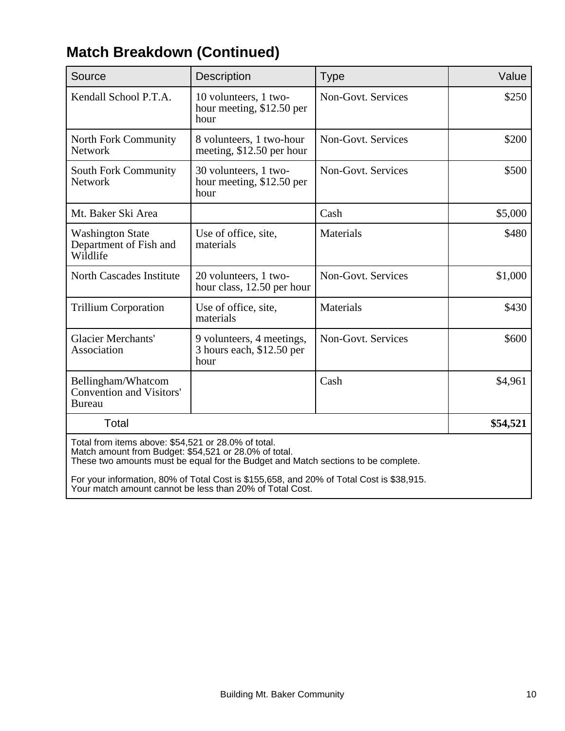| Source                                                                 | Description                                                    | <b>Type</b>        | Value    |
|------------------------------------------------------------------------|----------------------------------------------------------------|--------------------|----------|
| Kendall School P.T.A.                                                  | 10 volunteers, 1 two-<br>hour meeting, \$12.50 per<br>hour     | Non-Govt. Services | \$250    |
| North Fork Community<br><b>Network</b>                                 | 8 volunteers, 1 two-hour<br>meeting, \$12.50 per hour          | Non-Govt. Services | \$200    |
| <b>South Fork Community</b><br>Network                                 | 30 volunteers, 1 two-<br>hour meeting, \$12.50 per<br>hour     | Non-Govt. Services | \$500    |
| Mt. Baker Ski Area                                                     |                                                                | Cash               | \$5,000  |
| <b>Washington State</b><br>Department of Fish and<br>Wildlife          | Use of office, site,<br>materials                              | Materials          | \$480    |
| <b>North Cascades Institute</b>                                        | 20 volunteers, 1 two-<br>hour class, 12.50 per hour            | Non-Govt. Services | \$1,000  |
| <b>Trillium Corporation</b>                                            | Use of office, site,<br>materials                              | Materials          | \$430    |
| <b>Glacier Merchants'</b><br>Association                               | 9 volunteers, 4 meetings,<br>3 hours each, \$12.50 per<br>hour | Non-Govt. Services | \$600    |
| Bellingham/Whatcom<br><b>Convention and Visitors'</b><br><b>Bureau</b> |                                                                | Cash               | \$4,961  |
| Total                                                                  |                                                                |                    | \$54,521 |
| Total from items above: $$54,521$ or 28.0% of total                    |                                                                |                    |          |

## **Match Breakdown (Continued)**

Total from items above: \$54,521 or 28.0% of total. Match amount from Budget: \$54,521 or 28.0% of total. These two amounts must be equal for the Budget and Match sections to be complete.

For your information, 80% of Total Cost is \$155,658, and 20% of Total Cost is \$38,915. Your match amount cannot be less than 20% of Total Cost.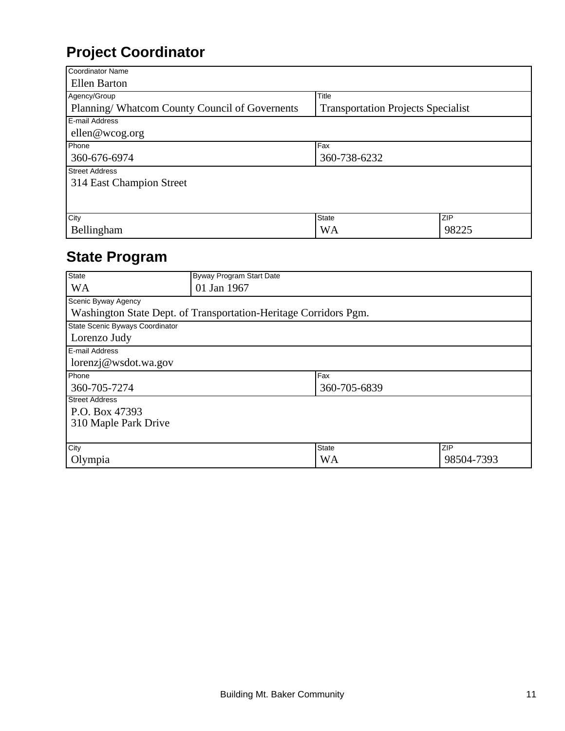## **Project Coordinator**

| Coordinator Name                              |                                           |       |
|-----------------------------------------------|-------------------------------------------|-------|
| <b>Ellen Barton</b>                           |                                           |       |
| Agency/Group                                  | Title                                     |       |
| Planning/Whatcom County Council of Governents | <b>Transportation Projects Specialist</b> |       |
| E-mail Address                                |                                           |       |
| $\text{ellen@wcog.org}$                       |                                           |       |
| Phone                                         | Fax                                       |       |
| 360-676-6974                                  | 360-738-6232                              |       |
| <b>Street Address</b>                         |                                           |       |
| 314 East Champion Street                      |                                           |       |
|                                               |                                           |       |
|                                               |                                           |       |
| City                                          | <b>State</b>                              | ZIP   |
| Bellingham                                    | <b>WA</b>                                 | 98225 |

## **State Program**

| <b>State</b>                                                     | Byway Program Start Date |              |            |  |  |
|------------------------------------------------------------------|--------------------------|--------------|------------|--|--|
| <b>WA</b>                                                        | 01 Jan 1967              |              |            |  |  |
| Scenic Byway Agency                                              |                          |              |            |  |  |
| Washington State Dept. of Transportation-Heritage Corridors Pgm. |                          |              |            |  |  |
| State Scenic Byways Coordinator                                  |                          |              |            |  |  |
| Lorenzo Judy                                                     |                          |              |            |  |  |
| E-mail Address                                                   |                          |              |            |  |  |
| lorenzj@wsdot.wa.gov                                             |                          |              |            |  |  |
| Phone                                                            |                          | Fax          |            |  |  |
| 360-705-7274                                                     |                          | 360-705-6839 |            |  |  |
| <b>Street Address</b>                                            |                          |              |            |  |  |
| P.O. Box 47393                                                   |                          |              |            |  |  |
| 310 Maple Park Drive                                             |                          |              |            |  |  |
|                                                                  |                          |              |            |  |  |
| City                                                             |                          | <b>State</b> | ZIP        |  |  |
| Olympia                                                          |                          | <b>WA</b>    | 98504-7393 |  |  |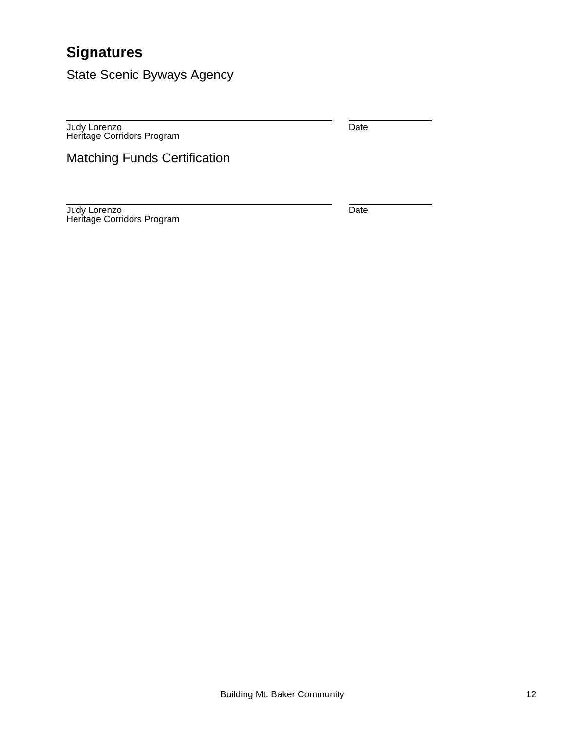## **Signatures**

State Scenic Byways Agency

Judy Lorenzo Heritage Corridors Program Date

Matching Funds Certification

Judy Lorenzo Heritage Corridors Program Date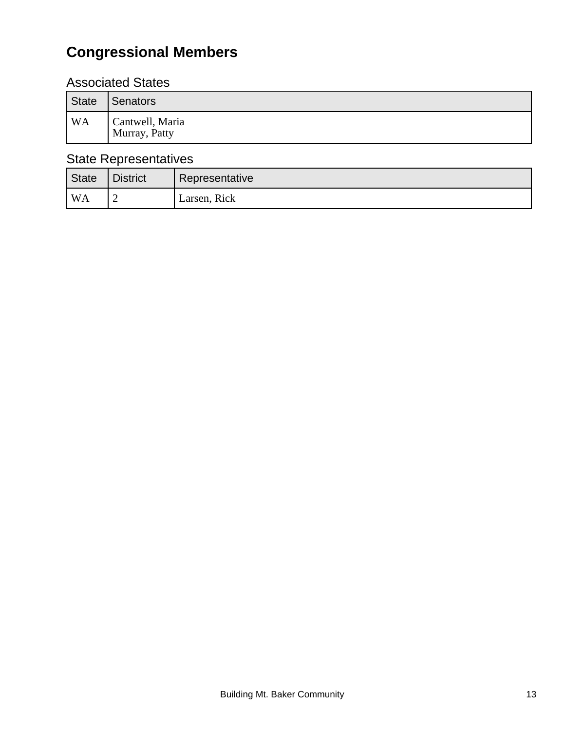## **Congressional Members**

#### Associated States

| State          | Senators                         |
|----------------|----------------------------------|
| WA <sup></sup> | Cantwell, Maria<br>Murray, Patty |

#### State Representatives

| State | <b>District</b> | Representative |
|-------|-----------------|----------------|
| l WA  |                 | Larsen, Rick   |